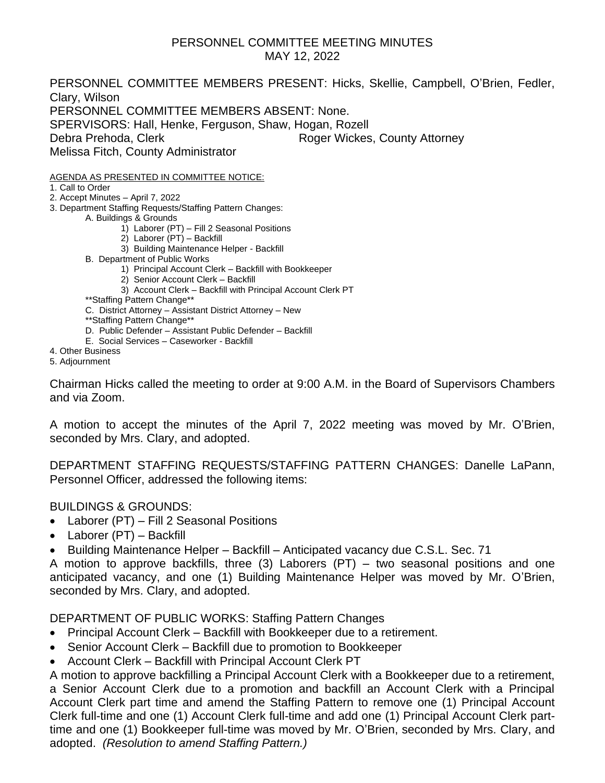#### PERSONNEL COMMITTEE MEETING MINUTES MAY 12, 2022

PERSONNEL COMMITTEE MEMBERS PRESENT: Hicks, Skellie, Campbell, O'Brien, Fedler, Clary, Wilson PERSONNEL COMMITTEE MEMBERS ABSENT: None. SPERVISORS: Hall, Henke, Ferguson, Shaw, Hogan, Rozell Debra Prehoda, Clerk Roger Wickes, County Attorney Melissa Fitch, County Administrator

AGENDA AS PRESENTED IN COMMITTEE NOTICE:

1. Call to Order

2. Accept Minutes – April 7, 2022

3. Department Staffing Requests/Staffing Pattern Changes:

A. Buildings & Grounds

- 1) Laborer (PT) Fill 2 Seasonal Positions
- 2) Laborer (PT) Backfill
- 3) Building Maintenance Helper Backfill
- B. Department of Public Works
	- 1) Principal Account Clerk Backfill with Bookkeeper
	- 2) Senior Account Clerk Backfill
	- 3) Account Clerk Backfill with Principal Account Clerk PT
- \*\*Staffing Pattern Change\*\*
- C. District Attorney Assistant District Attorney New
- \*\*Staffing Pattern Change\*\*
- D. Public Defender Assistant Public Defender Backfill
- E. Social Services Caseworker Backfill
- 4. Other Business

5. Adjournment

Chairman Hicks called the meeting to order at 9:00 A.M. in the Board of Supervisors Chambers and via Zoom.

A motion to accept the minutes of the April 7, 2022 meeting was moved by Mr. O'Brien, seconded by Mrs. Clary, and adopted.

DEPARTMENT STAFFING REQUESTS/STAFFING PATTERN CHANGES: Danelle LaPann, Personnel Officer, addressed the following items:

#### BUILDINGS & GROUNDS:

- Laborer (PT) Fill 2 Seasonal Positions
- Laborer (PT) Backfill
- Building Maintenance Helper Backfill Anticipated vacancy due C.S.L. Sec. 71

A motion to approve backfills, three (3) Laborers (PT) – two seasonal positions and one anticipated vacancy, and one (1) Building Maintenance Helper was moved by Mr. O'Brien, seconded by Mrs. Clary, and adopted.

DEPARTMENT OF PUBLIC WORKS: Staffing Pattern Changes

- Principal Account Clerk Backfill with Bookkeeper due to a retirement.
- Senior Account Clerk Backfill due to promotion to Bookkeeper
- Account Clerk Backfill with Principal Account Clerk PT

A motion to approve backfilling a Principal Account Clerk with a Bookkeeper due to a retirement, a Senior Account Clerk due to a promotion and backfill an Account Clerk with a Principal Account Clerk part time and amend the Staffing Pattern to remove one (1) Principal Account Clerk full-time and one (1) Account Clerk full-time and add one (1) Principal Account Clerk parttime and one (1) Bookkeeper full-time was moved by Mr. O'Brien, seconded by Mrs. Clary, and adopted. *(Resolution to amend Staffing Pattern.)*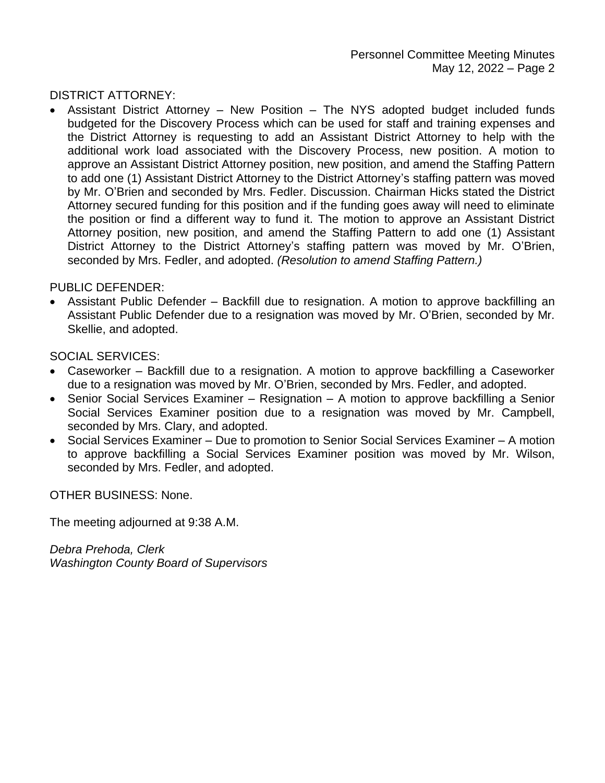DISTRICT ATTORNEY:

• Assistant District Attorney – New Position – The NYS adopted budget included funds budgeted for the Discovery Process which can be used for staff and training expenses and the District Attorney is requesting to add an Assistant District Attorney to help with the additional work load associated with the Discovery Process, new position. A motion to approve an Assistant District Attorney position, new position, and amend the Staffing Pattern to add one (1) Assistant District Attorney to the District Attorney's staffing pattern was moved by Mr. O'Brien and seconded by Mrs. Fedler. Discussion. Chairman Hicks stated the District Attorney secured funding for this position and if the funding goes away will need to eliminate the position or find a different way to fund it. The motion to approve an Assistant District Attorney position, new position, and amend the Staffing Pattern to add one (1) Assistant District Attorney to the District Attorney's staffing pattern was moved by Mr. O'Brien, seconded by Mrs. Fedler, and adopted. *(Resolution to amend Staffing Pattern.)*

#### PUBLIC DEFENDER:

• Assistant Public Defender – Backfill due to resignation. A motion to approve backfilling an Assistant Public Defender due to a resignation was moved by Mr. O'Brien, seconded by Mr. Skellie, and adopted.

SOCIAL SERVICES:

- Caseworker Backfill due to a resignation. A motion to approve backfilling a Caseworker due to a resignation was moved by Mr. O'Brien, seconded by Mrs. Fedler, and adopted.
- Senior Social Services Examiner Resignation A motion to approve backfilling a Senior Social Services Examiner position due to a resignation was moved by Mr. Campbell, seconded by Mrs. Clary, and adopted.
- Social Services Examiner Due to promotion to Senior Social Services Examiner A motion to approve backfilling a Social Services Examiner position was moved by Mr. Wilson, seconded by Mrs. Fedler, and adopted.

OTHER BUSINESS: None.

The meeting adjourned at 9:38 A.M.

*Debra Prehoda, Clerk Washington County Board of Supervisors*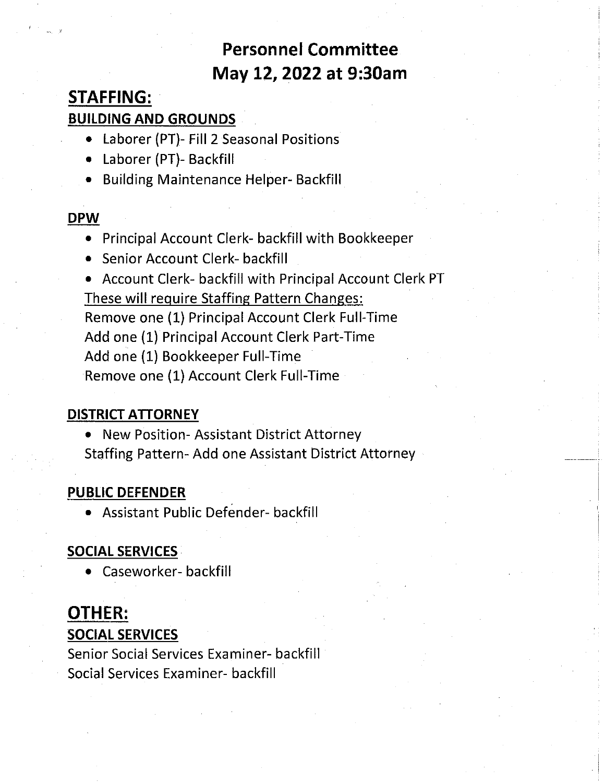### **Personnel Committee** May 12, 2022 at 9:30am

### **STAFFING: BUILDING AND GROUNDS**

- Laborer (PT)- Fill 2 Seasonal Positions
- Laborer (PT)- Backfill
- Building Maintenance Helper- Backfill

#### **DPW**

- Principal Account Clerk- backfill with Bookkeeper
- Senior Account Clerk- backfill

• Account Clerk- backfill with Principal Account Clerk PT These will require Staffing Pattern Changes: Remove one (1) Principal Account Clerk Full-Time Add one (1) Principal Account Clerk Part-Time Add one (1) Bookkeeper Full-Time Remove one (1) Account Clerk Full-Time

### **DISTRICT ATTORNEY**

• New Position- Assistant District Attorney Staffing Pattern- Add one Assistant District Attorney

### **PUBLIC DEFENDER**

• Assistant Public Defender- backfill

### **SOCIAL SERVICES**

• Caseworker- backfill

### **OTHER:**

#### **SOCIAL SERVICES**

Senior Social Services Examiner- backfill Social Services Examiner- backfill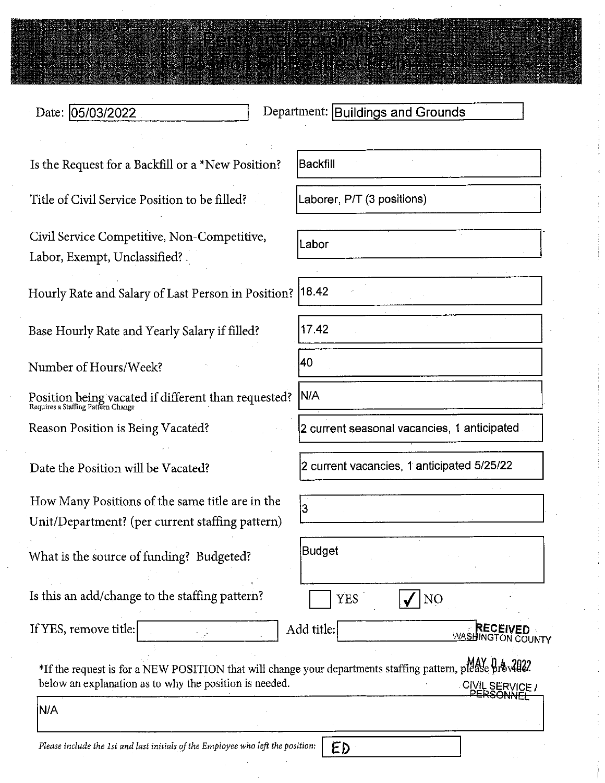# Free the series served the series

i prema nema montena porto.

Date: 05/03/2022

Department: Buildings and Grounds

Is the Request for a Backfill or a \*New Position?

Title of Civil Service Position to be filled?

Civil Service Competitive, Non-Competitive, Labor, Exempt, Unclassified?

Hourly Rate and Salary of Last Person in Position?

Base Hourly Rate and Yearly Salary if filled?

Number of Hours/Week?

Position being vacated if different than requested?<br> $_{\rm Requires\ a\ Staffing\ Parten\ Change}$ 

Reason Position is Being Vacated?

Date the Position will be Vacated?

How Many Positions of the same title are in the Unit/Department? (per current staffing pattern)

What is the source of funding? Budgeted?

Is this an add/change to the staffing pattern?

If YES, remove title:

Backfill

Laborer, P/T (3 positions)

Labor

 $18.42$ 

17.42

40 N/A

2 current seasonal vacancies, 1 anticipated

2 current vacancies, 1 anticipated 5/25/22

NO

RECEIVED

**WASHINGTON COUNTY** 

İ3

**Budget** 

Add title:

ED

**YES** 

ŵ

\*If the request is for a NEW POSITION that will change your departments staffing pattern, please provalled below an explanation as to why the position is needed. CIVIL SERVICE /<br>\_\_PERSONNEL

**N/A** 

Please include the 1st and last initials of the Employee who left the position: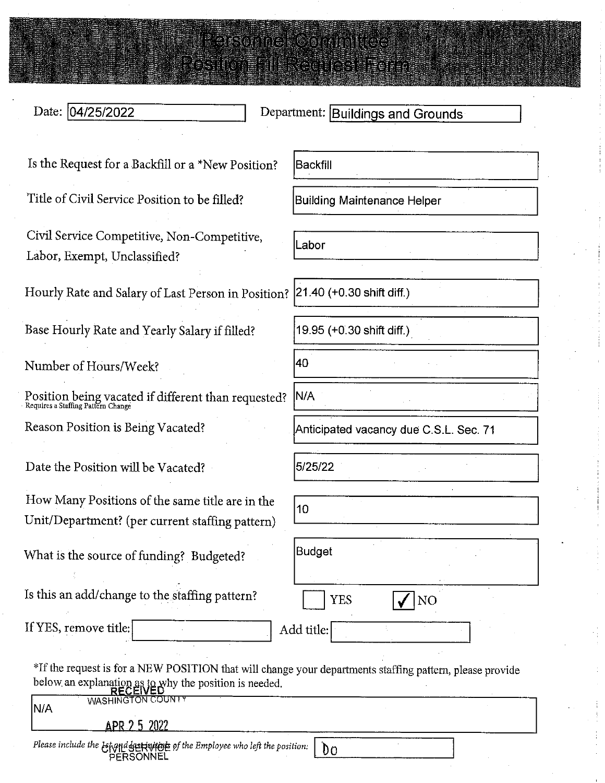#### Date: 04/25/2022

Department: Buildings and Grounds

Is the Request for a Backfill or a \*New Position?

Title of Civil Service Position to be filled?

Civil Service Competitive, Non-Competitive, Labor, Exempt, Unclassified?

Hourly Rate and Salary of Last Person in Position?

Base Hourly Rate and Yearly Salary if filled?

Number of Hours/Week?

Position being vacated if different than requested?<br>Requires a Staffing Pattern Change

Reason Position is Being Vacated?

Date the Position will be Vacated?

How Many Positions of the same title are in the Unit/Department? (per current staffing pattern)

What is the source of funding? Budgeted?

Is this an add/change to the staffing pattern?

PERSONNEL

If YES, remove title:

**Backfill** 

**The Street Repair** 

DYSTROMEN PRZYDRYSKI PORT

**Building Maintenance Helper** 

Labor

21.40 (+0.30 shift diff.)

19.95 (+0.30 shift diff.)

40

N/A

Anticipated vacancy due C.S.L. Sec. 71

5/25/22

 $10$ 

**Budget** 

Add title:

**YES** 

 $\sqrt{}|NQ$ 

\*If the request is for a NEW POSITION that will change your departments staffing pattern, please provide below an explanation as to why the position is needed.

| .                                                                            |  |  |
|------------------------------------------------------------------------------|--|--|
| WASHINGTON COUNTY<br>N/A                                                     |  |  |
| APR 2 5 2022                                                                 |  |  |
| Please include the Life of the Employee who left the position: $\bigcup_{U}$ |  |  |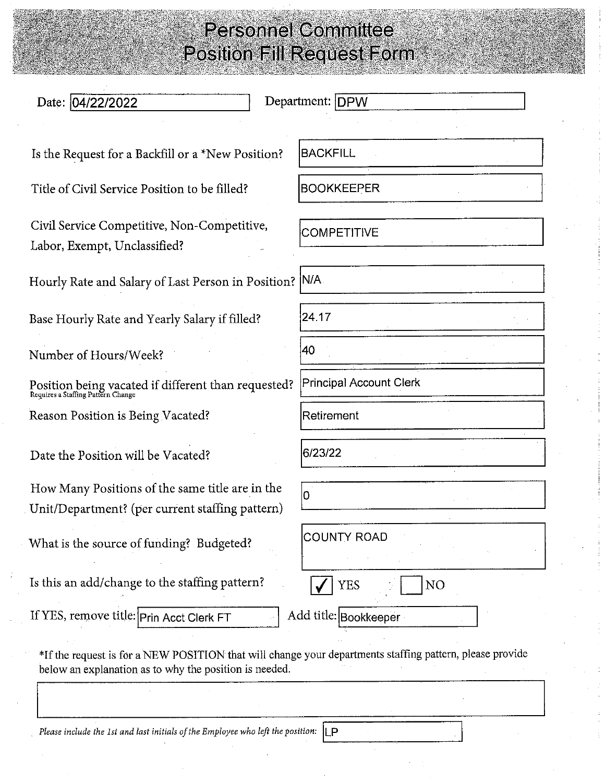| Date: 04/22/2022                                                                                                                                                   | Department: DPW                |
|--------------------------------------------------------------------------------------------------------------------------------------------------------------------|--------------------------------|
| Is the Request for a Backfill or a *New Position?                                                                                                                  | <b>BACKFILL</b>                |
| Title of Civil Service Position to be filled?                                                                                                                      | <b>BOOKKEEPER</b>              |
| Civil Service Competitive, Non-Competitive,<br>Labor, Exempt, Unclassified?                                                                                        | <b>COMPETITIVE</b>             |
| Hourly Rate and Salary of Last Person in Position?   N/A                                                                                                           |                                |
| Base Hourly Rate and Yearly Salary if filled?                                                                                                                      | 24.17                          |
| Number of Hours/Week?                                                                                                                                              | 40                             |
| Position being vacated if different than requested?<br>Requires a Staffing Pattern Change                                                                          | <b>Principal Account Clerk</b> |
| Reason Position is Being Vacated?                                                                                                                                  | Retirement                     |
| Date the Position will be Vacated?                                                                                                                                 | 6/23/22                        |
| How Many Positions of the same title are in the<br>Unit/Department? (per current staffing pattern)                                                                 | 0                              |
| What is the source of funding? Budgeted?                                                                                                                           | <b>COUNTY ROAD</b>             |
| Is this an add/change to the staffing pattern?                                                                                                                     | <b>YES</b><br>NO               |
| If YES, remove title: Prin Acct Clerk FT                                                                                                                           | Add title: Bookkeeper          |
| *If the request is for a NEW POSITION that will change your departments staffing pattern, please provide<br>below an explanation as to why the position is needed. |                                |

Please include the 1st and last initials of the Employee who left the position:  $\lfloor\!\lfloor P\rfloor\!\rfloor$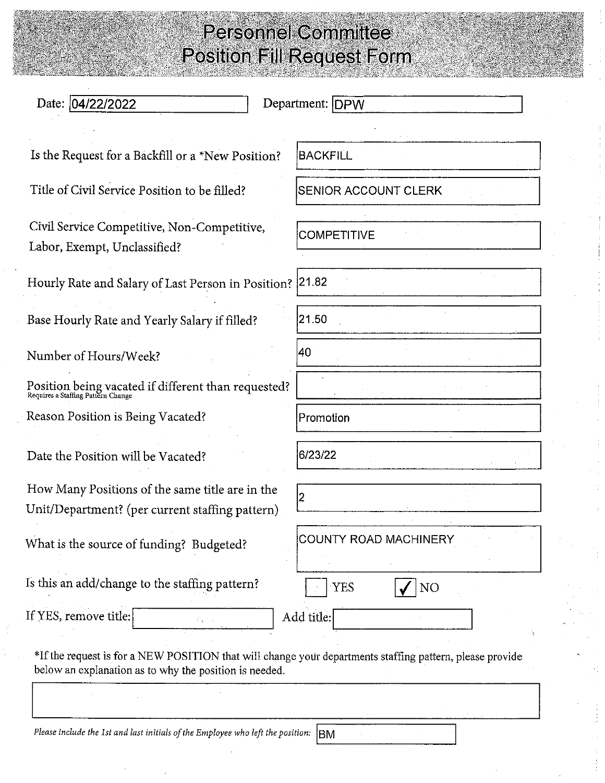| Date: 04/22/2022                                                                                   | Department: DPW       |
|----------------------------------------------------------------------------------------------------|-----------------------|
| Is the Request for a Backfill or a *New Position?                                                  | BACKFILL              |
| Title of Civil Service Position to be filled?                                                      | SENIOR ACCOUNT CLERK  |
| Civil Service Competitive, Non-Competitive,<br>Labor, Exempt, Unclassified?                        | <b>COMPETITIVE</b>    |
| Hourly Rate and Salary of Last Person in Position? 21.82                                           |                       |
| Base Hourly Rate and Yearly Salary if filled?                                                      | 21.50                 |
| Number of Hours/Week?                                                                              | 40                    |
| Position being vacated if different than requested?<br>Requires a Staffing Pattern Change          |                       |
| Reason Position is Being Vacated?                                                                  | Promotion             |
| Date the Position will be Vacated?                                                                 | 6/23/22               |
| How Many Positions of the same title are in the<br>Unit/Department? (per current staffing pattern) |                       |
| What is the source of funding? Budgeted?                                                           | COUNTY ROAD MACHINERY |
| Is this an add/change to the staffing pattern?                                                     | <b>YES</b><br>NO      |
| If YES, remove title:                                                                              | Add title:            |

Please include the 1st and last initials of the Employee who left the position:  $\vert$ BM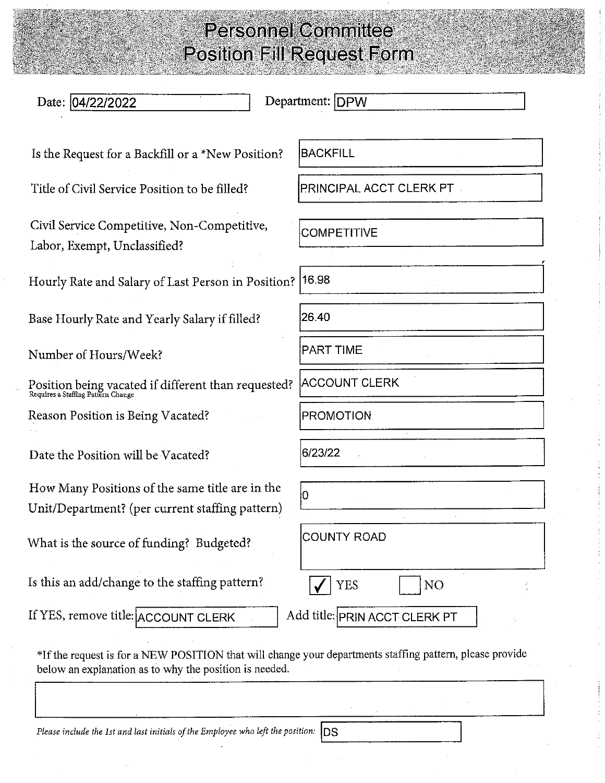| Date: 04/22/2022                                                                                                                                                   | Department: DPW               |
|--------------------------------------------------------------------------------------------------------------------------------------------------------------------|-------------------------------|
| Is the Request for a Backfill or a *New Position?                                                                                                                  | <b>BACKFILL</b>               |
| Title of Civil Service Position to be filled?                                                                                                                      | PRINCIPAL ACCT CLERK PT       |
| Civil Service Competitive, Non-Competitive,<br>Labor, Exempt, Unclassified?                                                                                        | <b>COMPETITIVE</b>            |
| Hourly Rate and Salary of Last Person in Position?  16.98                                                                                                          |                               |
| Base Hourly Rate and Yearly Salary if filled?                                                                                                                      | 26.40                         |
| Number of Hours/Week?                                                                                                                                              | <b>PART TIME</b>              |
| Position being vacated if different than requested? Requires a Staffing Pattern Change                                                                             | <b>ACCOUNT CLERK</b>          |
| Reason Position is Being Vacated?                                                                                                                                  | PROMOTION                     |
| Date the Position will be Vacated?                                                                                                                                 | 6/23/22                       |
| How Many Positions of the same title are in the<br>Unit/Department? (per current staffing pattern)                                                                 | 0                             |
| What is the source of funding? Budgeted?                                                                                                                           | <b>COUNTY ROAD</b>            |
| Is this an add/change to the staffing pattern?                                                                                                                     | <b>YES</b><br>NO              |
| If YES, remove title: ACCOUNT CLERK                                                                                                                                | Add title: PRIN ACCT CLERK PT |
| *If the request is for a NEW POSITION that will change your departments staffing pattern, please provide<br>below an explanation as to why the position is needed. |                               |

Please include the 1st and last initials of the Employee who left the position:  $\vert$ DS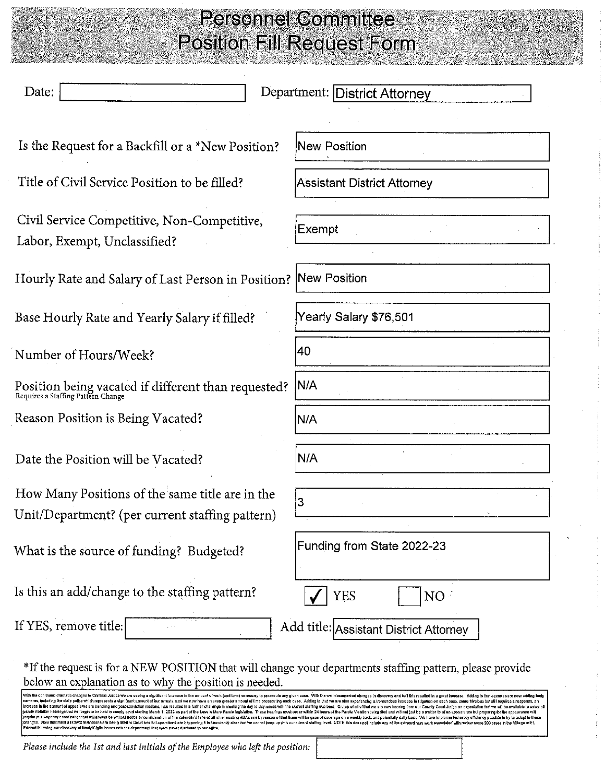| Date:                                                                                                                                                                                                                                                                                                                                                                                                                                                                                                                                                                                                                                 | Department: District Attorney                                                                                                                                                                                                  |
|---------------------------------------------------------------------------------------------------------------------------------------------------------------------------------------------------------------------------------------------------------------------------------------------------------------------------------------------------------------------------------------------------------------------------------------------------------------------------------------------------------------------------------------------------------------------------------------------------------------------------------------|--------------------------------------------------------------------------------------------------------------------------------------------------------------------------------------------------------------------------------|
| Is the Request for a Backfill or a *New Position?                                                                                                                                                                                                                                                                                                                                                                                                                                                                                                                                                                                     | New Position                                                                                                                                                                                                                   |
| Title of Civil Service Position to be filled?                                                                                                                                                                                                                                                                                                                                                                                                                                                                                                                                                                                         | <b>Assistant District Attorney</b>                                                                                                                                                                                             |
| Civil Service Competitive, Non-Competitive,<br>Labor, Exempt, Unclassified?                                                                                                                                                                                                                                                                                                                                                                                                                                                                                                                                                           | Exempt                                                                                                                                                                                                                         |
| Hourly Rate and Salary of Last Person in Position?  New Position                                                                                                                                                                                                                                                                                                                                                                                                                                                                                                                                                                      |                                                                                                                                                                                                                                |
| Base Hourly Rate and Yearly Salary if filled?                                                                                                                                                                                                                                                                                                                                                                                                                                                                                                                                                                                         | Yearly Salary \$76,501                                                                                                                                                                                                         |
| Number of Hours/Week?                                                                                                                                                                                                                                                                                                                                                                                                                                                                                                                                                                                                                 | 40                                                                                                                                                                                                                             |
| Position being vacated if different than requested?<br>Requires a Staffing Pattern Change                                                                                                                                                                                                                                                                                                                                                                                                                                                                                                                                             | N/A                                                                                                                                                                                                                            |
| Reason Position is Being Vacated?                                                                                                                                                                                                                                                                                                                                                                                                                                                                                                                                                                                                     | N/A                                                                                                                                                                                                                            |
| Date the Position will be Vacated?                                                                                                                                                                                                                                                                                                                                                                                                                                                                                                                                                                                                    | N/A                                                                                                                                                                                                                            |
| How Many Positions of the same title are in the<br>Unit/Department? (per current staffing pattern)                                                                                                                                                                                                                                                                                                                                                                                                                                                                                                                                    | 3                                                                                                                                                                                                                              |
| What is the source of funding? Budgeted?                                                                                                                                                                                                                                                                                                                                                                                                                                                                                                                                                                                              | Funding from State 2022-23                                                                                                                                                                                                     |
| Is this an add/change to the staffing pattern?                                                                                                                                                                                                                                                                                                                                                                                                                                                                                                                                                                                        | YES<br>NO                                                                                                                                                                                                                      |
| If YES, remove title:                                                                                                                                                                                                                                                                                                                                                                                                                                                                                                                                                                                                                 | Add title: Assistant District Attorney                                                                                                                                                                                         |
| *If the request is for a NEW POSITION that will change your departments staffing pattern, please provide<br>below an explanation as to why the position is needed.<br>With the continued dramatic changes to Criminal Justice we are seeing a significant increase in the amount of work (and time) necessary to prosecule any given case. With the well documented changes in discovery and ball th<br>cameras, including the state police which represents a significant amount of our arrests, and we now have an even groater amount of lime prosecuting each case. Adding to that we are also experiencing a tremendous increase | norease in the amount of appeals we are handling and post-condction mollons, has resulted in a further challenge in meeling the day to day needs with the oursenl slafing numbers. On top of all of that we are now hearing fr |

Please include the 1st and last initials of the Employee who left the position: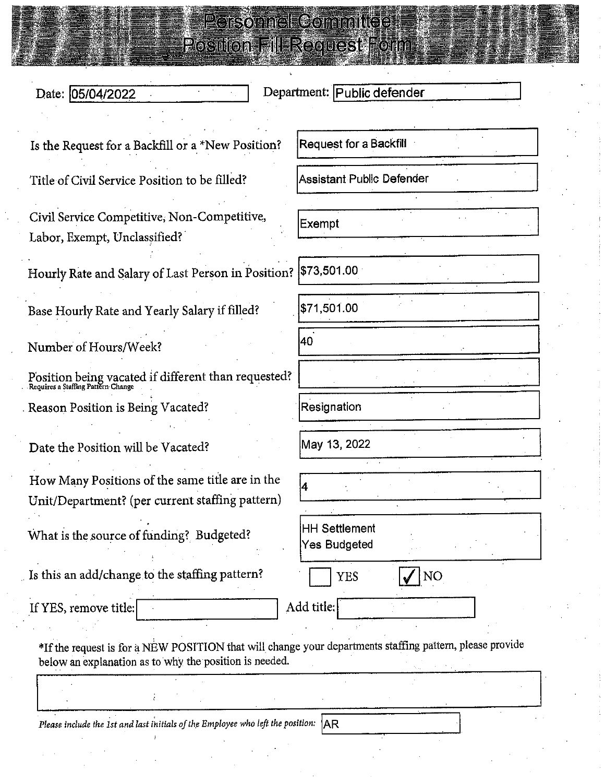|                                                   | <b>E Parsonnel Committee!</b><br><b>Positon all Reguest Form</b> |
|---------------------------------------------------|------------------------------------------------------------------|
| Date: 05/04/2022                                  | Department: Public defender                                      |
| Is the Request for a Backfill or a *New Position? | Request for a Backfill                                           |
| Title of Civil Service Position to be filled?     | Assistant Public Defender                                        |

Civil Service Competitive, Non-Competitive, Labor, Exempt, Unclassified?

Hourly Rate and Salary of Last Person in Positio.

Base Hourly Rate and Yearly Salary if filled?

Number of Hours/Week?

Position being vacated if different than requested<br>Requires a Staffing Pattern Change Reason Position is Being Vacated?

Date the Position will be Vacated?

How Many Positions of the same title are in the Unit/Department? (per current staffing pattern)

What is the source of funding? Budgeted?

Is this an add/change to the staffing pattern?

If YES, remove title:

|  | ł, |
|--|----|

Add title:

\*If the request is for a NEW POSITION that will change your departments staffing pattern, please provide below an explanation as to why the position is needed.

Please include the 1st and last initials of the Employee who left the position:  $AR$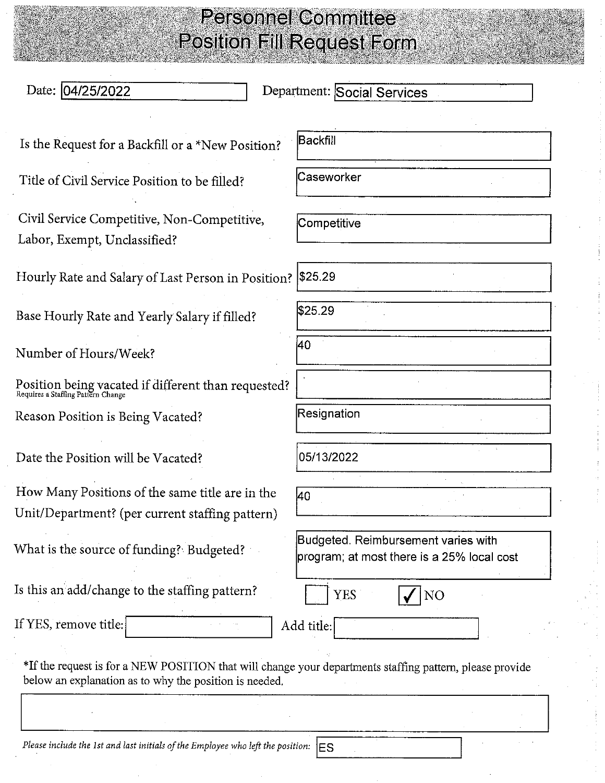| Date: 04/25/2022                                                                                                                                                   | Department: Social Services                                                       |
|--------------------------------------------------------------------------------------------------------------------------------------------------------------------|-----------------------------------------------------------------------------------|
| Is the Request for a Backfill or a *New Position?                                                                                                                  | <b>Backfill</b>                                                                   |
| Title of Civil Service Position to be filled?                                                                                                                      | Caseworker                                                                        |
| Civil Service Competitive, Non-Competitive,<br>Labor, Exempt, Unclassified?                                                                                        | Competitive                                                                       |
| Hourly Rate and Salary of Last Person in Position?   \$25.29                                                                                                       |                                                                                   |
| Base Hourly Rate and Yearly Salary if filled?                                                                                                                      | \$25.29                                                                           |
| Number of Hours/Week?                                                                                                                                              | 40                                                                                |
| Position being vacated if different than requested?<br>Requires a Staffing Pattern Change                                                                          |                                                                                   |
| Reason Position is Being Vacated?                                                                                                                                  | Resignation                                                                       |
| Date the Position will be Vacated?                                                                                                                                 | 05/13/2022                                                                        |
| How Many Positions of the same title are in the<br>Unit/Department? (per current staffing pattern)                                                                 | l40                                                                               |
| What is the source of funding? Budgeted?                                                                                                                           | Budgeted. Reimbursement varies with<br>program; at most there is a 25% local cost |
| Is this an add/change to the staffing pattern?                                                                                                                     | <b>YES</b><br>NO                                                                  |
| If YES, remove title:                                                                                                                                              | Add title:                                                                        |
| *If the request is for a NEW POSITION that will change your departments staffing pattern, please provide<br>below an explanation as to why the position is needed. |                                                                                   |

Please include the 1st and last initials of the Employee who left the position:  $\vert$ ES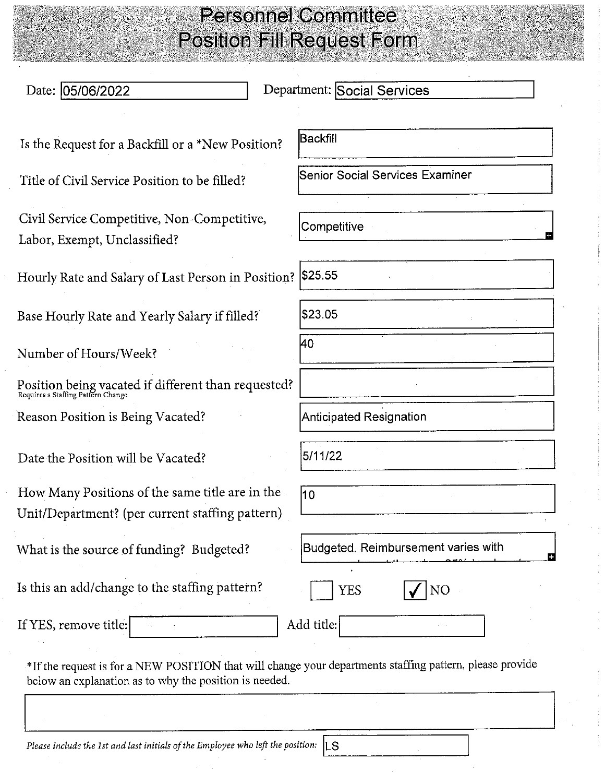| Date: 05/06/2022                                                                                   | Department: Social Services         |
|----------------------------------------------------------------------------------------------------|-------------------------------------|
| Is the Request for a Backfill or a *New Position?                                                  | Backfill                            |
| Title of Civil Service Position to be filled?                                                      | Senior Social Services Examiner     |
| Civil Service Competitive, Non-Competitive,<br>Labor, Exempt, Unclassified?                        | Competitive                         |
| Hourly Rate and Salary of Last Person in Position?   \$25.55                                       |                                     |
| Base Hourly Rate and Yearly Salary if filled?                                                      | \$23.05                             |
| Number of Hours/Week?                                                                              | 40                                  |
| Position being vacated if different than requested?<br>Requires a Staffing Pattern Change          |                                     |
| Reason Position is Being Vacated?                                                                  | Anticipated Resignation             |
| Date the Position will be Vacated?                                                                 | 5/11/22                             |
| How Many Positions of the same title are in the<br>Unit/Department? (per current staffing pattern) | 10                                  |
| What is the source of funding? Budgeted?                                                           | Budgeted. Reimbursement varies with |
| Is this an add/change to the staffing pattern?                                                     | YES<br>NO                           |
| If YES, remove title:                                                                              | Add title:                          |

Please include the 1st and last initials of the Employee who left the position:  $\|$ LS